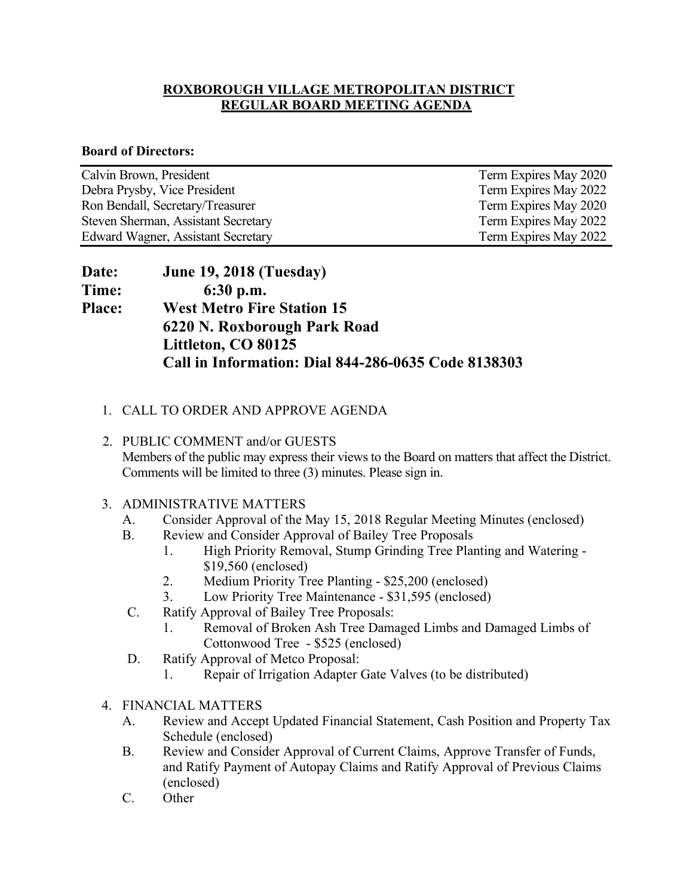### **ROXBOROUGH VILLAGE METROPOLITAN DISTRICT REGULAR BOARD MEETING AGENDA**

#### **Board of Directors:**

| Calvin Brown, President                   | Term Expires May 2020 |
|-------------------------------------------|-----------------------|
| Debra Prysby, Vice President              | Term Expires May 2022 |
| Ron Bendall, Secretary/Treasurer          | Term Expires May 2020 |
| Steven Sherman, Assistant Secretary       | Term Expires May 2022 |
| <b>Edward Wagner, Assistant Secretary</b> | Term Expires May 2022 |

| <b>Date:</b>  | <b>June 19, 2018 (Tuesday)</b>                      |
|---------------|-----------------------------------------------------|
| Time:         | $6:30$ p.m.                                         |
| <b>Place:</b> | <b>West Metro Fire Station 15</b>                   |
|               | 6220 N. Roxborough Park Road                        |
|               | Littleton, CO 80125                                 |
|               | Call in Information: Dial 844-286-0635 Code 8138303 |

## 1. CALL TO ORDER AND APPROVE AGENDA

 2. PUBLIC COMMENT and/or GUESTS Members of the public may express their views to the Board on matters that affect the District. Comments will be limited to three (3) minutes. Please sign in.

#### 3. ADMINISTRATIVE MATTERS

- A. Consider Approval of the May 15, 2018 Regular Meeting Minutes (enclosed)
- B. Review and Consider Approval of Bailey Tree Proposals
	- 1. High Priority Removal, Stump Grinding Tree Planting and Watering \$19,560 (enclosed)
	- 2. Medium Priority Tree Planting \$25,200 (enclosed)
	- 3. Low Priority Tree Maintenance \$31,595 (enclosed)
- C. Ratify Approval of Bailey Tree Proposals:
	- 1. Removal of Broken Ash Tree Damaged Limbs and Damaged Limbs of Cottonwood Tree - \$525 (enclosed)
- D. Ratify Approval of Metco Proposal:
	- 1. Repair of Irrigation Adapter Gate Valves (to be distributed)
- 4. FINANCIAL MATTERS
	- A. Review and Accept Updated Financial Statement, Cash Position and Property Tax Schedule (enclosed)
	- B. Review and Consider Approval of Current Claims, Approve Transfer of Funds, and Ratify Payment of Autopay Claims and Ratify Approval of Previous Claims (enclosed)
	- C. Other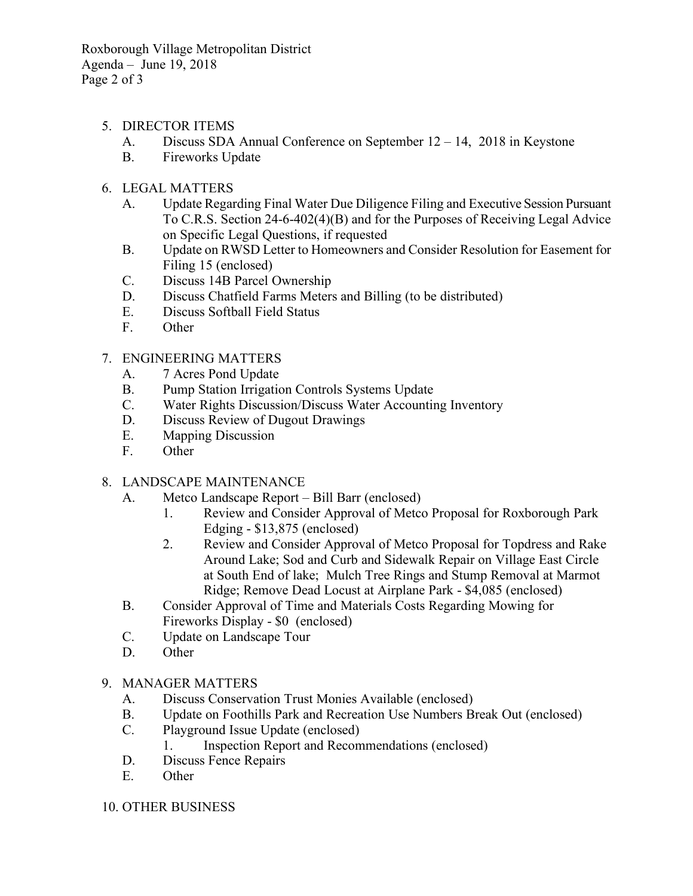Roxborough Village Metropolitan District Agenda – June 19, 2018 Page 2 of 3

- 5. DIRECTOR ITEMS
	- A. Discuss SDA Annual Conference on September 12 14, 2018 in Keystone
	- B. Fireworks Update
- 6. LEGAL MATTERS
	- A. Update Regarding Final Water Due Diligence Filing and Executive Session Pursuant To C.R.S. Section 24-6-402(4)(B) and for the Purposes of Receiving Legal Advice on Specific Legal Questions, if requested
	- B. Update on RWSD Letter to Homeowners and Consider Resolution for Easement for Filing 15 (enclosed)
	- C. Discuss 14B Parcel Ownership
	- D. Discuss Chatfield Farms Meters and Billing (to be distributed)
	- E. Discuss Softball Field Status
	- F. Other
- 7. ENGINEERING MATTERS
	- A. 7 Acres Pond Update
	- B. Pump Station Irrigation Controls Systems Update
	- C. Water Rights Discussion/Discuss Water Accounting Inventory
	- D. Discuss Review of Dugout Drawings
	- E. Mapping Discussion
	- F. Other
- 8. LANDSCAPE MAINTENANCE
	- A. Metco Landscape Report Bill Barr (enclosed)
		- 1. Review and Consider Approval of Metco Proposal for Roxborough Park Edging - \$13,875 (enclosed)
		- 2. Review and Consider Approval of Metco Proposal for Topdress and Rake Around Lake; Sod and Curb and Sidewalk Repair on Village East Circle at South End of lake; Mulch Tree Rings and Stump Removal at Marmot Ridge; Remove Dead Locust at Airplane Park - \$4,085 (enclosed)
	- B. Consider Approval of Time and Materials Costs Regarding Mowing for Fireworks Display - \$0 (enclosed)
	- C. Update on Landscape Tour
	- D. Other

#### 9. MANAGER MATTERS

- A. Discuss Conservation Trust Monies Available (enclosed)
- B. Update on Foothills Park and Recreation Use Numbers Break Out (enclosed)
- C. Playground Issue Update (enclosed)
	- 1. Inspection Report and Recommendations (enclosed)
- D. Discuss Fence Repairs
- E. Other
- 10. OTHER BUSINESS